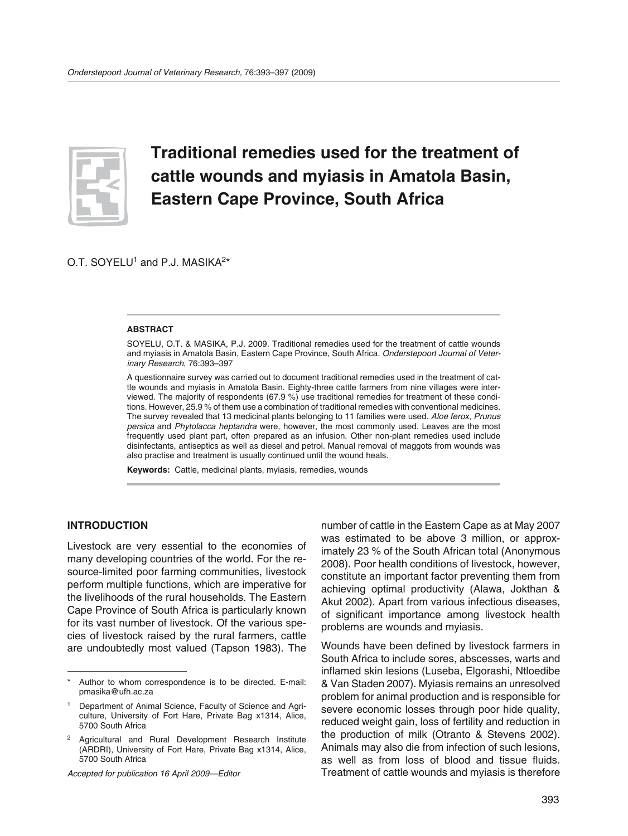

# **Traditional remedies used for the treatment of cattle wounds and myiasis in Amatola Basin, Eastern Cape Province, South Africa**

O.T. SOYELU<sup>1</sup> and P.J. MASIKA<sup>2\*</sup>

#### **ABSTRACT**

SOYELU, O.T. & MASIKA, P.J. 2009. Traditional remedies used for the treatment of cattle wounds and myiasis in Amatola Basin, Eastern Cape Province, South Africa. Onderstepoort Journal of Veterinary Research, 76:393–397

A questionnaire survey was carried out to document traditional remedies used in the treatment of cattle wounds and myiasis in Amatola Basin. Eighty-three cattle farmers from nine villages were interviewed. The majority of respondents (67.9 %) use traditional remedies for treatment of these conditions. However, 25.9 % of them use a combination of traditional remedies with conventional medicines. The survey revealed that 13 medicinal plants belonging to 11 families were used. Aloe ferox, Prunus persica and Phytolacca heptandra were, however, the most commonly used. Leaves are the most frequently used plant part, often prepared as an infusion. Other non-plant remedies used include disinfectants, antiseptics as well as diesel and petrol. Manual removal of maggots from wounds was also practise and treatment is usually continued until the wound heals.

**Keywords:** Cattle, medicinal plants, myiasis, remedies, wounds

#### **INTRODUCTION**

Livestock are very essential to the economies of many developing countries of the world. For the resource-limited poor farming communities, livestock perform multiple functions, which are imperative for the livelihoods of the rural households. The Eastern Cape Province of South Africa is particularly known for its vast number of livestock. Of the various species of livestock raised by the rural farmers, cattle are undoubtedly most valued (Tapson 1983). The

Accepted for publication 16 April 2009—Editor

number of cattle in the Eastern Cape as at May 2007 was estimated to be above 3 million, or approximately 23  % of the South African total (Anonymous 2008). Poor health conditions of livestock, however, constitute an important factor preventing them from achieving optimal productivity (Alawa, Jokthan & Akut 2002). Apart from various infectious diseases, of significant importance among livestock health problems are wounds and myiasis.

Wounds have been defined by livestock farmers in South Africa to include sores, abscesses, warts and inflamed skin lesions (Luseba, Elgorashi, Ntloedibe & Van Staden 2007). Myiasis remains an unresolved problem for animal production and is responsible for severe economic losses through poor hide quality, reduced weight gain, loss of fertility and reduction in the production of milk (Otranto & Stevens 2002). Animals may also die from infection of such lesions, as well as from loss of blood and tissue fluids. Treatment of cattle wounds and myiasis is therefore

Author to whom correspondence is to be directed. E-mail: pmasika@ufh.ac.za

<sup>&</sup>lt;sup>1</sup> Department of Animal Science, Faculty of Science and Agriculture, University of Fort Hare, Private Bag x1314, Alice, 5700 South Africa

<sup>2</sup> Agricultural and Rural Development Research Institute (ARDRI), University of Fort Hare, Private Bag x1314, Alice, 5700 South Africa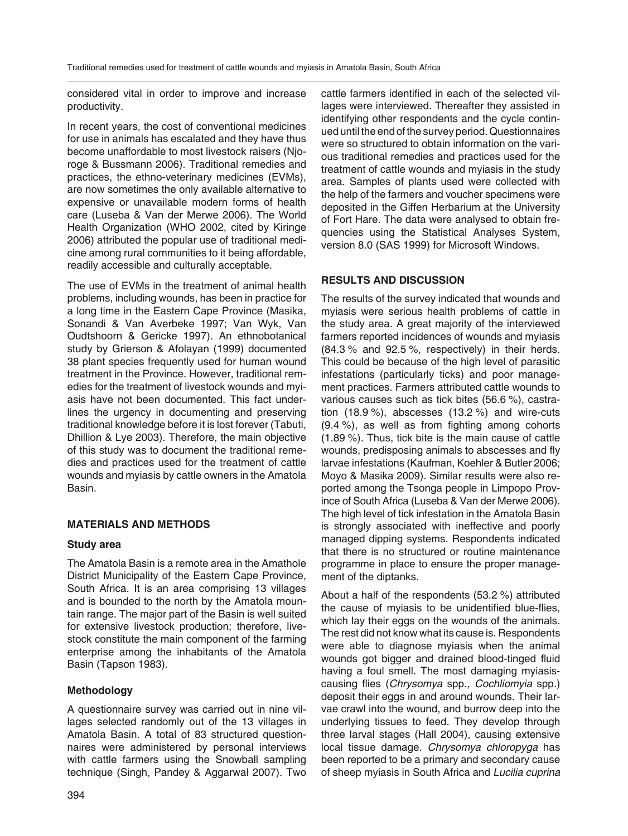considered vital in order to improve and increase productivity.

In recent years, the cost of conventional medicines for use in animals has escalated and they have thus become unaffordable to most livestock raisers (Njoroge & Bussmann 2006). Traditional remedies and practices, the ethno-veterinary medicines (EVMs), are now sometimes the only available alternative to expensive or unavailable modern forms of health care (Luseba & Van der Merwe 2006). The World Health Organization (WHO 2002, cited by Kiringe 2006) attributed the popular use of traditional medicine among rural communities to it being affordable, readily accessible and culturally acceptable.

The use of EVMs in the treatment of animal health problems, including wounds, has been in practice for a long time in the Eastern Cape Province (Masika, Sonandi & Van Averbeke 1997; Van Wyk, Van Oudtshoorn & Gericke 1997). An ethnobotanical study by Grierson & Afolayan (1999) documented 38 plant species frequently used for human wound treatment in the Province. However, traditional remedies for the treatment of livestock wounds and myiasis have not been documented. This fact underlines the urgency in documenting and preserving traditional knowledge before it is lost forever (Tabuti, Dhillion & Lye 2003). Therefore, the main objective of this study was to document the traditional remedies and practices used for the treatment of cattle wounds and myiasis by cattle owners in the Amatola Basin.

## **MATERIALS AND METHODS**

#### **Study area**

The Amatola Basin is a remote area in the Amathole District Municipality of the Eastern Cape Province, South Africa. It is an area comprising 13 villages and is bounded to the north by the Amatola mountain range. The major part of the Basin is well suited for extensive livestock production; therefore, livestock constitute the main component of the farming enterprise among the inhabitants of the Amatola Basin (Tapson 1983).

## **Methodology**

A questionnaire survey was carried out in nine villages selected randomly out of the 13 villages in Amatola Basin. A total of 83 structured questionnaires were administered by personal interviews with cattle farmers using the Snowball sampling technique (Singh, Pandey & Aggarwal 2007). Two

cattle farmers identified in each of the selected villages were interviewed. Thereafter they assisted in identifying other respondents and the cycle continued until the end of the survey period. Questionnaires were so structured to obtain information on the various traditional remedies and practices used for the treatment of cattle wounds and myiasis in the study area. Samples of plants used were collected with the help of the farmers and voucher specimens were deposited in the Giffen Herbarium at the University of Fort Hare. The data were analysed to obtain frequencies using the Statistical Analyses System, version 8.0 (SAS 1999) for Microsoft Windows.

## **RESULTS AND DISCUSSION**

The results of the survey indicated that wounds and myiasis were serious health problems of cattle in the study area. A great majority of the interviewed farmers reported incidences of wounds and myiasis (84.3  % and 92.5  %, respectively) in their herds. This could be because of the high level of parasitic infestations (particularly ticks) and poor management practices. Farmers attributed cattle wounds to various causes such as tick bites (56.6  %), castration  $(18.9 %)$ , abscesses  $(13.2 %)$  and wire-cuts (9.4  %), as well as from fighting among cohorts (1.89  %). Thus, tick bite is the main cause of cattle wounds, predisposing animals to abscesses and fly larvae infestations (Kaufman, Koehler & Butler 2006; Moyo & Masika 2009). Similar results were also reported among the Tsonga people in Limpopo Province of South Africa (Luseba & Van der Merwe 2006). The high level of tick infestation in the Amatola Basin is strongly associated with ineffective and poorly managed dipping systems. Respondents indicated that there is no structured or routine maintenance programme in place to ensure the proper management of the diptanks.

About a half of the respondents (53.2  %) attributed the cause of myiasis to be unidentified blue-flies, which lay their eggs on the wounds of the animals. The rest did not know what its cause is. Respondents were able to diagnose myiasis when the animal wounds got bigger and drained blood-tinged fluid having a foul smell. The most damaging myiasiscausing flies (Chrysomya spp., Cochliomyia spp.) deposit their eggs in and around wounds. Their larvae crawl into the wound, and burrow deep into the underlying tissues to feed. They develop through three larval stages (Hall 2004), causing extensive local tissue damage. Chrysomya chloropyga has been reported to be a primary and secondary cause of sheep myiasis in South Africa and Lucilia cuprina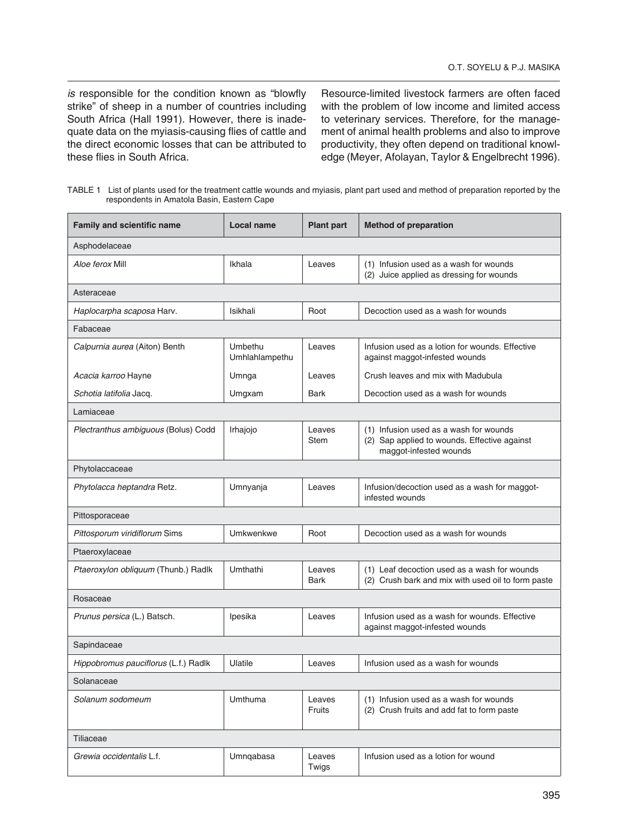is responsible for the condition known as "blowfly strike" of sheep in a number of countries including South Africa (Hall 1991). However, there is inadequate data on the myiasis-causing flies of cattle and the direct economic losses that can be attributed to these flies in South Africa.

Resource-limited livestock farmers are often faced with the problem of low income and limited access to veterinary services. Therefore, for the management of animal health problems and also to improve productivity, they often depend on traditional knowledge (Meyer, Afolayan, Taylor & Engelbrecht 1996).

TABLE 1 List of plants used for the treatment cattle wounds and myiasis, plant part used and method of preparation reported by the respondents in Amatola Basin, Eastern Cape

| <b>Family and scientific name</b>    | Local name                | <b>Plant part</b>     | <b>Method of preparation</b>                                                                                     |
|--------------------------------------|---------------------------|-----------------------|------------------------------------------------------------------------------------------------------------------|
| Asphodelaceae                        |                           |                       |                                                                                                                  |
| Aloe ferox Mill                      | Ikhala                    | Leaves                | (1) Infusion used as a wash for wounds<br>(2) Juice applied as dressing for wounds                               |
| Asteraceae                           |                           |                       |                                                                                                                  |
| Haplocarpha scaposa Harv.            | Isikhali                  | Root                  | Decoction used as a wash for wounds                                                                              |
| Fabaceae                             |                           |                       |                                                                                                                  |
| Calpurnia aurea (Aiton) Benth        | Umbethu<br>Umhlahlampethu | Leaves                | Infusion used as a lotion for wounds. Effective<br>against maggot-infested wounds                                |
| Acacia karroo Hayne                  | Umnga                     | Leaves                | Crush leaves and mix with Madubula                                                                               |
| Schotia latifolia Jacq.              | Umgxam                    | Bark                  | Decoction used as a wash for wounds                                                                              |
| Lamiaceae                            |                           |                       |                                                                                                                  |
| Plectranthus ambiguous (Bolus) Codd  | Irhajojo                  | Leaves<br><b>Stem</b> | (1) Infusion used as a wash for wounds<br>(2) Sap applied to wounds. Effective against<br>maggot-infested wounds |
| Phytolaccaceae                       |                           |                       |                                                                                                                  |
| Phytolacca heptandra Retz.           | Umnyanja                  | Leaves                | Infusion/decoction used as a wash for maggot-<br>infested wounds                                                 |
| Pittosporaceae                       |                           |                       |                                                                                                                  |
| Pittosporum viridiflorum Sims        | Umkwenkwe                 | Root                  | Decoction used as a wash for wounds                                                                              |
| Ptaeroxylaceae                       |                           |                       |                                                                                                                  |
| Ptaeroxylon obliquum (Thunb.) Radlk  | Umthathi                  | Leaves<br><b>Bark</b> | (1) Leaf decoction used as a wash for wounds<br>(2) Crush bark and mix with used oil to form paste               |
| Rosaceae                             |                           |                       |                                                                                                                  |
| Prunus persica (L.) Batsch.          | Ipesika                   | Leaves                | Infusion used as a wash for wounds. Effective<br>against maggot-infested wounds                                  |
| Sapindaceae                          |                           |                       |                                                                                                                  |
| Hippobromus pauciflorus (L.f.) Radlk | Ulatile                   | Leaves                | Infusion used as a wash for wounds                                                                               |
| Solanaceae                           |                           |                       |                                                                                                                  |
| Solanum sodomeum                     | <b>Umthuma</b>            | Leaves<br>Fruits      | (1) Infusion used as a wash for wounds<br>(2) Crush fruits and add fat to form paste                             |
| Tiliaceae                            |                           |                       |                                                                                                                  |
| Grewia occidentalis L.f.             | Umnqabasa                 | Leaves<br>Twigs       | Infusion used as a lotion for wound                                                                              |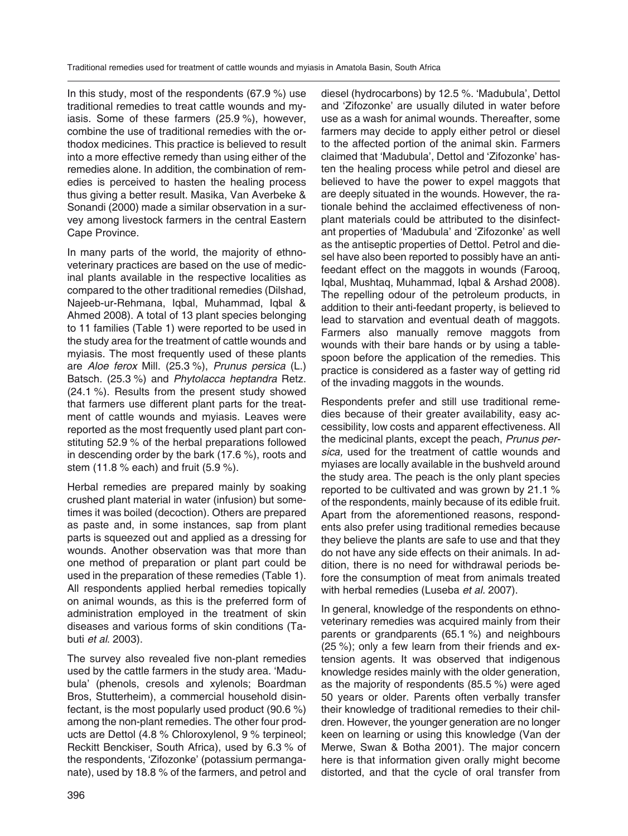In this study, most of the respondents (67.9  %) use traditional remedies to treat cattle wounds and myiasis. Some of these farmers (25.9  %), however, combine the use of traditional remedies with the orthodox medicines. This practice is believed to result into a more effective remedy than using either of the remedies alone. In addition, the combination of remedies is perceived to hasten the healing process thus giving a better result. Masika, Van Averbeke & Sonandi (2000) made a similar observation in a survey among livestock farmers in the central Eastern Cape Province.

In many parts of the world, the majority of ethnoveterinary practices are based on the use of medicinal plants available in the respective localities as compared to the other traditional remedies (Dilshad, Najeeb-ur-Rehmana, Iqbal, Muhammad, Iqbal & Ahmed 2008). A total of 13 plant species belonging to 11 families (Table 1) were reported to be used in the study area for the treatment of cattle wounds and myiasis. The most frequently used of these plants are Aloe ferox Mill. (25.3  %), Prunus persica (L.) Batsch. (25.3  %) and Phytolacca heptandra Retz. (24.1  %). Results from the present study showed that farmers use different plant parts for the treatment of cattle wounds and myiasis. Leaves were reported as the most frequently used plant part constituting 52.9  % of the herbal preparations followed in descending order by the bark (17.6  %), roots and stem (11.8  % each) and fruit (5.9  %).

Herbal remedies are prepared mainly by soaking crushed plant material in water (infusion) but sometimes it was boiled (decoction). Others are prepared as paste and, in some instances, sap from plant parts is squeezed out and applied as a dressing for wounds. Another observation was that more than one method of preparation or plant part could be used in the preparation of these remedies (Table 1). All respondents applied herbal remedies topically on animal wounds, as this is the preferred form of administration employed in the treatment of skin diseases and various forms of skin conditions (Tabuti et al. 2003).

The survey also revealed five non-plant remedies used by the cattle farmers in the study area. 'Madubula' (phenols, cresols and xylenols; Boardman Bros, Stutterheim), a commercial household disinfectant, is the most popularly used product (90.6  %) among the non-plant remedies. The other four products are Dettol (4.8  % Chloroxylenol, 9  % terpineol; Reckitt Benckiser, South Africa), used by 6.3  % of the respondents, 'Zifozonke' (potassium permanganate), used by 18.8  % of the farmers, and petrol and

diesel (hydrocarbons) by 12.5  %. 'Madubula', Dettol and 'Zifozonke' are usually diluted in water before use as a wash for animal wounds. Thereafter, some farmers may decide to apply either petrol or diesel to the affected portion of the animal skin. Farmers claimed that 'Madubula', Dettol and 'Zifozonke' hasten the healing process while petrol and diesel are believed to have the power to expel maggots that are deeply situated in the wounds. However, the rationale behind the acclaimed effectiveness of nonplant materials could be attributed to the disinfectant properties of 'Madubula' and 'Zifozonke' as well as the antiseptic properties of Dettol. Petrol and diesel have also been reported to possibly have an antifeedant effect on the maggots in wounds (Farooq, Iqbal, Mushtaq, Muhammad, Iqbal & Arshad 2008). The repelling odour of the petroleum products, in addition to their anti-feedant property, is believed to lead to starvation and eventual death of maggots. Farmers also manually remove maggots from wounds with their bare hands or by using a tablespoon before the application of the remedies. This practice is considered as a faster way of getting rid of the invading maggots in the wounds.

Respondents prefer and still use traditional remedies because of their greater availability, easy accessibility, low costs and apparent effectiveness. All the medicinal plants, except the peach, Prunus persica, used for the treatment of cattle wounds and myiases are locally available in the bushveld around the study area. The peach is the only plant species reported to be cultivated and was grown by 21.1  % of the respondents, mainly because of its edible fruit. Apart from the aforementioned reasons, respondents also prefer using traditional remedies because they believe the plants are safe to use and that they do not have any side effects on their animals. In addition, there is no need for withdrawal periods before the consumption of meat from animals treated with herbal remedies (Luseba et al. 2007).

In general, knowledge of the respondents on ethnoveterinary remedies was acquired mainly from their parents or grandparents (65.1  %) and neighbours (25  %); only a few learn from their friends and extension agents. It was observed that indigenous knowledge resides mainly with the older generation, as the majority of respondents (85.5  %) were aged 50 years or older. Parents often verbally transfer their knowledge of traditional remedies to their children. However, the younger generation are no longer keen on learning or using this knowledge (Van der Merwe, Swan & Botha 2001). The major concern here is that information given orally might become distorted, and that the cycle of oral transfer from